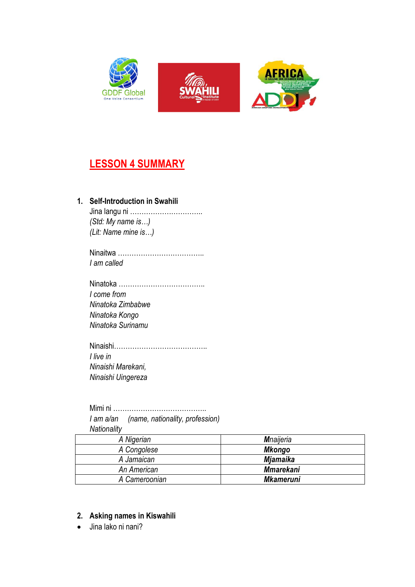

# **LESSON 4 SUMMARY**

## **1. Self-Introduction in Swahili**

Jina langu ni ………………………….. *(Std: My name is…) (Lit: Name mine is…)*

Ninaitwa ……………………………….. *I am called*

Ninatoka ……………………………….. *I come from Ninatoka Zimbabwe Ninatoka Kongo Ninatoka Surinamu*

Ninaishi………………………………….. *I live in Ninaishi Marekani, Ninaishi Uingereza*

Mimi ni ………………………………….. *I am a/an (name, nationality, profession) Nationality*

| A Nigerian    | <b>M</b> naijeria |
|---------------|-------------------|
| A Congolese   | Mkongo            |
| A Jamaican    | <b>Mjamaika</b>   |
| An American   | <b>Mmarekani</b>  |
| A Cameroonian | <b>Mkameruni</b>  |

### **2. Asking names in Kiswahili**

• Jina lako ni nani?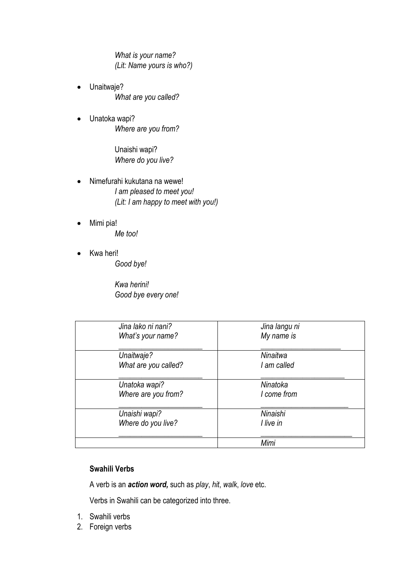*What is your name? (Lit: Name yours is who?)*

- Unaitwaje? *What are you called?*
- Unatoka wapi? *Where are you from?*

Unaishi wapi? *Where do you live?*

- Nimefurahi kukutana na wewe! *I am pleased to meet you! (Lit: I am happy to meet with you!)*
- Mimi pia! *Me too!*
- Kwa heri! *Good bye!*

*Kwa herini! Good bye every one!*

| Jina lako ni nani?   | Jina langu ni |
|----------------------|---------------|
| What's your name?    | My name is    |
| Unaitwaje?           | Ninaitwa      |
| What are you called? | I am called   |
| Unatoka wapi?        | Ninatoka      |
| Where are you from?  | I come from   |
| Unaishi wapi?        | Ninaishi      |
| Where do you live?   | I live in     |
|                      | Mimi          |

### **Swahili Verbs**

A verb is an *action word,* such as *play*, *hit*, *walk*, *love* etc.

Verbs in Swahili can be categorized into three.

- 1. Swahili verbs
- 2. Foreign verbs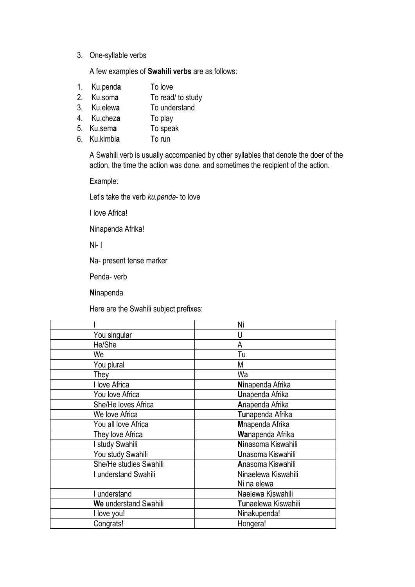#### 3. One-syllable verbs

A few examples of **Swahili verbs** are as follows:

- 1. Ku.pend**a** To love
- 2. Ku.som**a** To read/ to study
- 3. Ku.elew**a** To understand
- 4. Ku.chez**a** To play
- 5. Ku.sem**a** To speak
- 6. Ku.kimbi**a** To run

A Swahili verb is usually accompanied by other syllables that denote the doer of the action, the time the action was done, and sometimes the recipient of the action.

Example:

Let's take the verb *ku.penda*- to love

I love Africa!

Ninapenda Afrika!

Ni- I

Na- present tense marker

Penda- verb

**Ni**napenda

Here are the Swahili subject prefixes:

|                        | Ni                     |  |
|------------------------|------------------------|--|
| You singular           | U                      |  |
| He/She                 | A                      |  |
| We                     | Tu                     |  |
| You plural             | М                      |  |
| They                   | Wa                     |  |
| I love Africa          | Ninapenda Afrika       |  |
| You love Africa        | <b>Unapenda Afrika</b> |  |
| She/He loves Africa    | Anapenda Afrika        |  |
| We love Africa         | Tunapenda Afrika       |  |
| You all love Africa    | Mnapenda Afrika        |  |
| They love Africa       | Wanapenda Afrika       |  |
| I study Swahili        | Ninasoma Kiswahili     |  |
| You study Swahili      | Unasoma Kiswahili      |  |
| She/He studies Swahili | Anasoma Kiswahili      |  |
| I understand Swahili   | Ninaelewa Kiswahili    |  |
|                        | Ni na elewa            |  |
| I understand           | Naelewa Kiswahili      |  |
| We understand Swahili  | Tunaelewa Kiswahili    |  |
| I love you!            | Ninakupenda!           |  |
| Congrats!              | Hongera!               |  |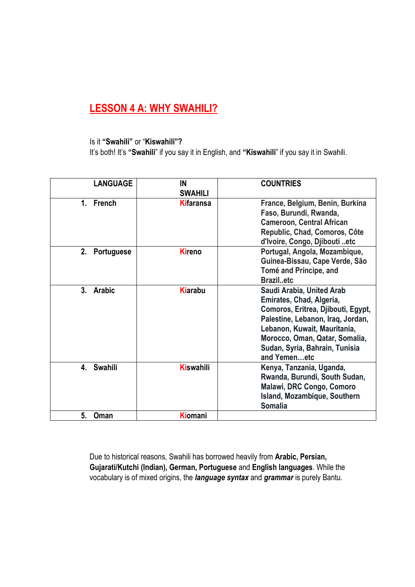# **LESSON 4 A: WHY SWAHILI?**

#### Is it **"Swahili"** or "**Kiswahili"?**

It's both! It's **"Swahili**" if you say it in English, and **"Kiswahili**" if you say it in Swahili.

| <b>LANGUAGE</b> | IN<br><b>SWAHILI</b> | <b>COUNTRIES</b>                                                                                                                                                                                                                                     |
|-----------------|----------------------|------------------------------------------------------------------------------------------------------------------------------------------------------------------------------------------------------------------------------------------------------|
| 1. French       | <b>Kifaransa</b>     | France, Belgium, Benin, Burkina<br>Faso, Burundi, Rwanda,<br><b>Cameroon, Central African</b><br>Republic, Chad, Comoros, Côte<br>d'Ivoire, Congo, Djibouti etc                                                                                      |
| 2. Portuguese   | <b>Kireno</b>        | Portugal, Angola, Mozambique,<br>Guinea-Bissau, Cape Verde, São<br>Tomé and Príncipe, and<br><b>Brazil.etc</b>                                                                                                                                       |
| 3. Arabic       | <b>Kiarabu</b>       | Saudi Arabia, United Arab<br>Emirates, Chad, Algeria,<br>Comoros, Eritrea, Djibouti, Egypt,<br>Palestine, Lebanon, Iraq, Jordan,<br>Lebanon, Kuwait, Mauritania,<br>Morocco, Oman, Qatar, Somalia,<br>Sudan, Syria, Bahrain, Tunisia<br>and Yemenetc |
| 4. Swahili      | <b>Kiswahili</b>     | Kenya, Tanzania, Uganda,<br>Rwanda, Burundi, South Sudan,<br>Malawi, DRC Congo, Comoro<br>Island, Mozambique, Southern<br><b>Somalia</b>                                                                                                             |
| 5.<br>Oman      | Kiomani              |                                                                                                                                                                                                                                                      |

Due to historical reasons, Swahili has borrowed heavily from **Arabic, Persian, Gujarati/Kutchi (Indian), German, Portuguese** and **English languages**. While the vocabulary is of mixed origins, the *language syntax* and *grammar* is purely Bantu.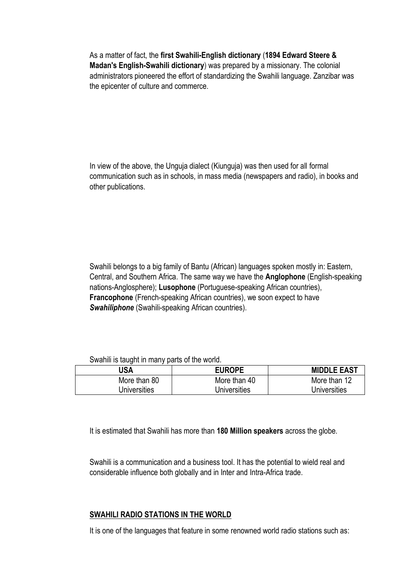As a matter of fact, the **first Swahili-English dictionary** (**1894 Edward Steere & Madan's English-Swahili dictionary**) was prepared by a missionary. The colonial administrators pioneered the effort of standardizing the Swahili language. Zanzibar was the epicenter of culture and commerce.

In view of the above, the Unguja dialect (Kiunguja) was then used for all formal communication such as in schools, in mass media (newspapers and radio), in books and other publications.

Swahili belongs to a big family of Bantu (African) languages spoken mostly in: Eastern, Central, and Southern Africa. The same way we have the **Anglophone** (English-speaking nations-Anglosphere); **Lusophone** (Portuguese-speaking African countries), **Francophone** (French-speaking African countries), we soon expect to have *Swahiliphone* (Swahili-speaking African countries).

#### Swahili is taught in many parts of the world.

| USA          | <b>EUROPE</b> | <b>MIDDLE EAST</b> |
|--------------|---------------|--------------------|
| More than 80 | More than 40  | More than 12       |
| Universities | Universities  | Universities       |

It is estimated that Swahili has more than **180 Million speakers** across the globe.

Swahili is a communication and a business tool. It has the potential to wield real and considerable influence both globally and in Inter and Intra-Africa trade.

#### **SWAHILI RADIO STATIONS IN THE WORLD**

It is one of the languages that feature in some renowned world radio stations such as: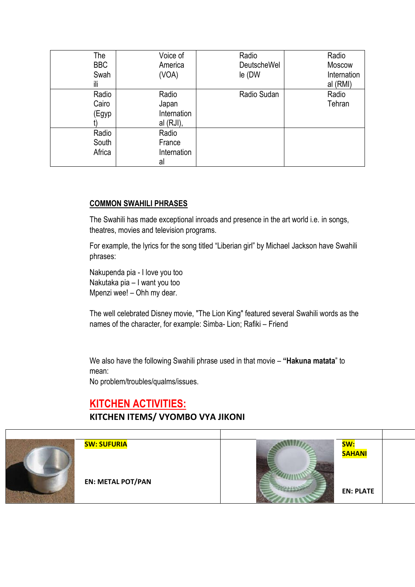| The        | Voice of     | Radio              | Radio       |
|------------|--------------|--------------------|-------------|
| <b>BBC</b> | America      | <b>DeutscheWel</b> | Moscow      |
| Swah       | (VOA)        | le (DW             | Internation |
| ili        |              |                    | al (RMI)    |
| Radio      | Radio        | Radio Sudan        | Radio       |
| Cairo      | Japan        |                    | Tehran      |
| (Egyp      | Internation  |                    |             |
|            | al $(RJI)$ , |                    |             |
| Radio      | Radio        |                    |             |
| South      | France       |                    |             |
| Africa     | Internation  |                    |             |
|            | al           |                    |             |

### **COMMON SWAHILI PHRASES**

The Swahili has made exceptional inroads and presence in the art world i.e. in songs, theatres, movies and television programs.

For example, the lyrics for the song titled "Liberian girl" by Michael Jackson have Swahili phrases:

Nakupenda pia - I love you too Nakutaka pia – I want you too Mpenzi wee! – Ohh my dear.

The well celebrated Disney movie, "The Lion King" featured several Swahili words as the names of the character, for example: Simba- Lion; Rafiki – Friend

We also have the following Swahili phrase used in that movie – **"Hakuna matata**" to mean:

No problem/troubles/qualms/issues.

# **KITCHEN ACTIVITIES:**

# **KITCHEN ITEMS/ VYOMBO VYA JIKONI**

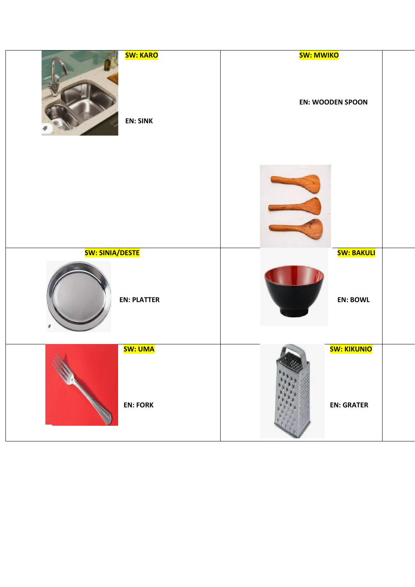| <b>SW: KARO</b>        | <b>SW: MWIKO</b>        |  |
|------------------------|-------------------------|--|
| <b>EN: SINK</b>        | <b>EN: WOODEN SPOON</b> |  |
|                        |                         |  |
| <b>SW: SINIA/DESTE</b> | <b>SW: BAKULI</b>       |  |
| <b>EN: PLATTER</b>     | <b>EN: BOWL</b>         |  |
| SW: UMA                | <b>SW: KIKUNIO</b>      |  |
| <b>EN: FORK</b>        | <b>EN: GRATER</b>       |  |